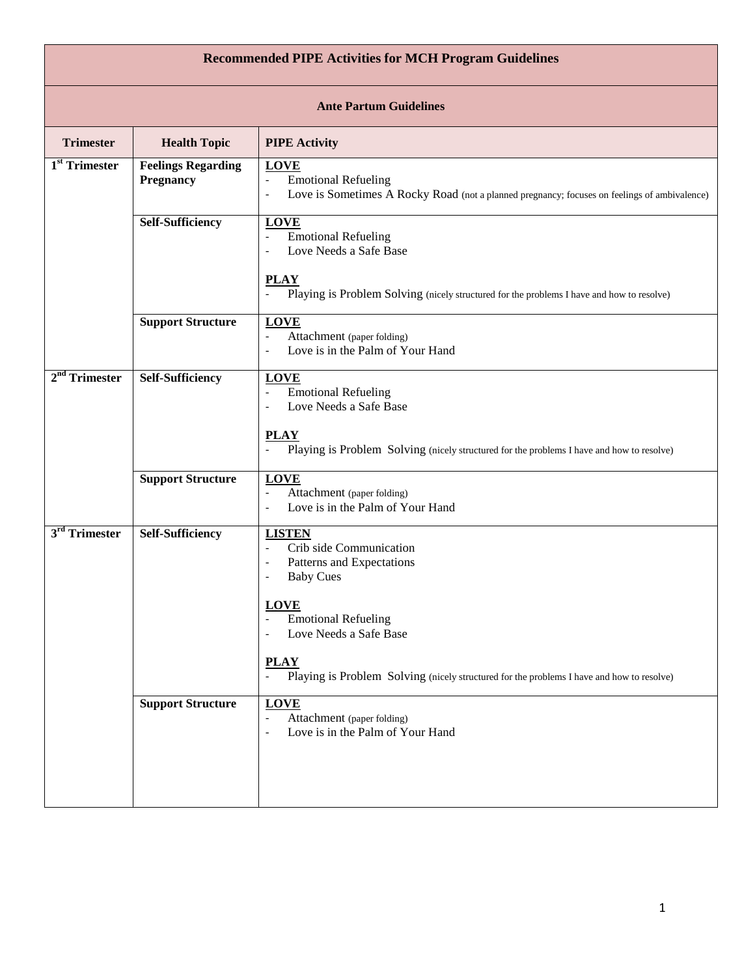| <b>Recommended PIPE Activities for MCH Program Guidelines</b> |                                               |                                                                                                                                                                                                                                                                                                                                                                                              |  |  |
|---------------------------------------------------------------|-----------------------------------------------|----------------------------------------------------------------------------------------------------------------------------------------------------------------------------------------------------------------------------------------------------------------------------------------------------------------------------------------------------------------------------------------------|--|--|
| <b>Ante Partum Guidelines</b>                                 |                                               |                                                                                                                                                                                                                                                                                                                                                                                              |  |  |
| <b>Trimester</b>                                              | <b>Health Topic</b>                           | <b>PIPE Activity</b>                                                                                                                                                                                                                                                                                                                                                                         |  |  |
| 1 <sup>st</sup> Trimester                                     | <b>Feelings Regarding</b><br><b>Pregnancy</b> | <b>LOVE</b><br><b>Emotional Refueling</b><br>$\overline{\phantom{a}}$<br>Love is Sometimes A Rocky Road (not a planned pregnancy; focuses on feelings of ambivalence)<br>$\overline{\phantom{a}}$                                                                                                                                                                                            |  |  |
|                                                               | <b>Self-Sufficiency</b>                       | <b>LOVE</b><br><b>Emotional Refueling</b><br>$\overline{\phantom{a}}$<br>Love Needs a Safe Base                                                                                                                                                                                                                                                                                              |  |  |
|                                                               |                                               | <b>PLAY</b><br>Playing is Problem Solving (nicely structured for the problems I have and how to resolve)                                                                                                                                                                                                                                                                                     |  |  |
|                                                               | <b>Support Structure</b>                      | <b>LOVE</b><br>$\overline{\phantom{a}}$<br>Attachment (paper folding)<br>Love is in the Palm of Your Hand<br>$\overline{\phantom{a}}$                                                                                                                                                                                                                                                        |  |  |
| $2nd$ Trimester                                               | <b>Self-Sufficiency</b>                       | <b>LOVE</b><br><b>Emotional Refueling</b><br>$\overline{\phantom{a}}$<br>Love Needs a Safe Base<br><b>PLAY</b><br>Playing is Problem Solving (nicely structured for the problems I have and how to resolve)                                                                                                                                                                                  |  |  |
|                                                               | <b>Support Structure</b>                      | <b>LOVE</b><br>Attachment (paper folding)<br>$\overline{\phantom{a}}$<br>Love is in the Palm of Your Hand<br>$\overline{\phantom{a}}$                                                                                                                                                                                                                                                        |  |  |
| 3 <sup>rd</sup> Trimester                                     | <b>Self-Sufficiency</b>                       | <b>LISTEN</b><br>Crib side Communication<br>$\overline{\phantom{a}}$<br>Patterns and Expectations<br>$\overline{\phantom{a}}$<br><b>Baby Cues</b><br><b>LOVE</b><br><b>Emotional Refueling</b><br>Love Needs a Safe Base<br>$\overline{\phantom{a}}$<br><b>PLAY</b><br>$\overline{\phantom{a}}$<br>Playing is Problem Solving (nicely structured for the problems I have and how to resolve) |  |  |
|                                                               | <b>Support Structure</b>                      | <b>LOVE</b><br>Attachment (paper folding)<br>$\overline{\phantom{a}}$<br>Love is in the Palm of Your Hand<br>$\overline{\phantom{a}}$                                                                                                                                                                                                                                                        |  |  |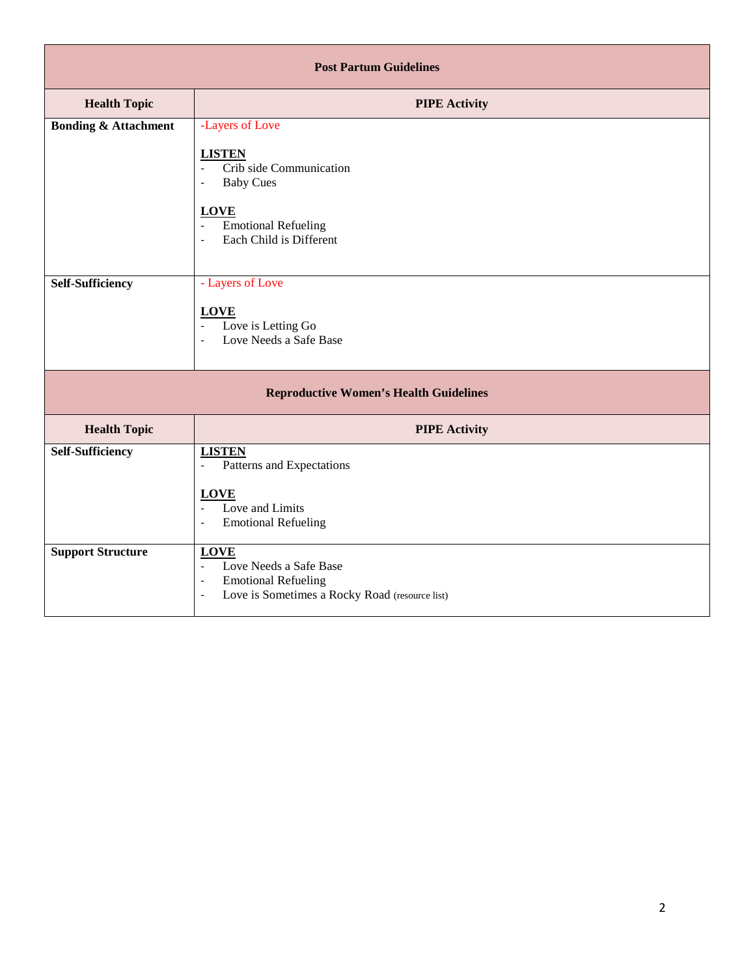| <b>Post Partum Guidelines</b>                 |                                                                                                                                                                                                                                                                    |  |  |  |
|-----------------------------------------------|--------------------------------------------------------------------------------------------------------------------------------------------------------------------------------------------------------------------------------------------------------------------|--|--|--|
| <b>Health Topic</b>                           | <b>PIPE Activity</b>                                                                                                                                                                                                                                               |  |  |  |
| <b>Bonding &amp; Attachment</b>               | -Layers of Love<br><b>LISTEN</b><br>Crib side Communication<br>$\bar{\phantom{a}}$<br><b>Baby Cues</b><br>$\overline{\phantom{a}}$<br><b>LOVE</b><br><b>Emotional Refueling</b><br>$\overline{\phantom{a}}$<br>Each Child is Different<br>$\overline{\phantom{a}}$ |  |  |  |
| <b>Self-Sufficiency</b>                       | - Layers of Love<br><b>LOVE</b><br>Love is Letting Go<br>$\overline{\phantom{a}}$<br>Love Needs a Safe Base<br>$\overline{\phantom{a}}$                                                                                                                            |  |  |  |
| <b>Reproductive Women's Health Guidelines</b> |                                                                                                                                                                                                                                                                    |  |  |  |
| <b>Health Topic</b>                           | <b>PIPE Activity</b>                                                                                                                                                                                                                                               |  |  |  |
| <b>Self-Sufficiency</b>                       | <b>LISTEN</b><br>Patterns and Expectations<br>$\overline{\phantom{a}}$<br><b>LOVE</b><br>Love and Limits<br>$\blacksquare$<br><b>Emotional Refueling</b><br>$\overline{\phantom{a}}$                                                                               |  |  |  |
| <b>Support Structure</b>                      | <b>LOVE</b><br>Love Needs a Safe Base<br>$\mathbb{L}$<br><b>Emotional Refueling</b><br>$\overline{\phantom{a}}$<br>Love is Sometimes a Rocky Road (resource list)<br>$\overline{\phantom{a}}$                                                                      |  |  |  |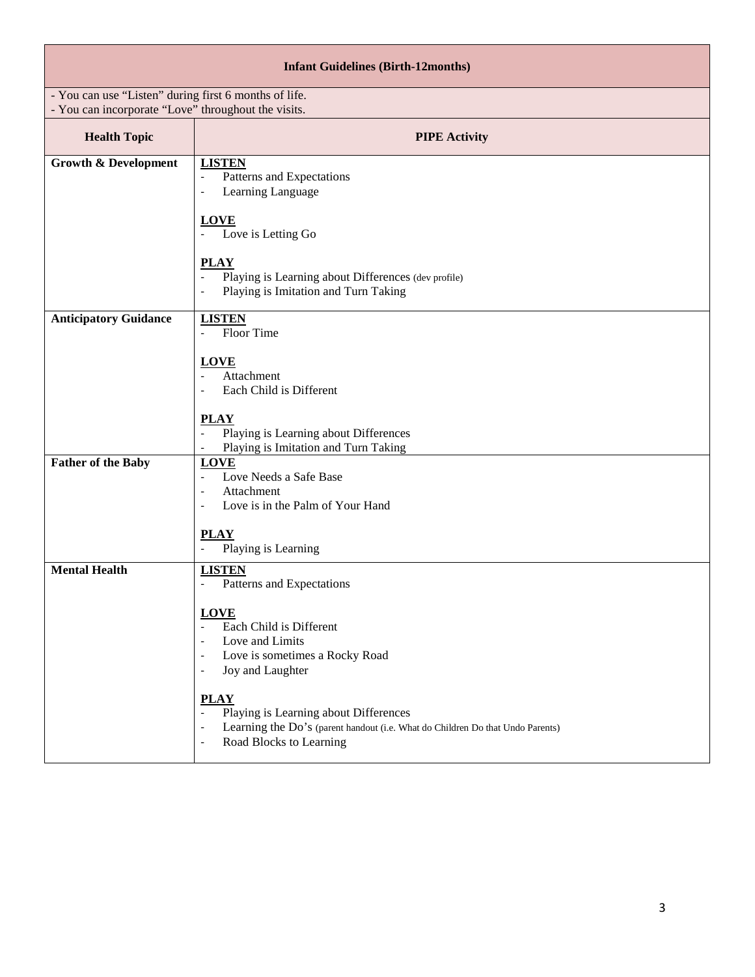| <b>Infant Guidelines (Birth-12months)</b>                                                                    |                                                                                                                                                                                                                                                                                                                                                                                                                                                                                                                    |  |  |  |
|--------------------------------------------------------------------------------------------------------------|--------------------------------------------------------------------------------------------------------------------------------------------------------------------------------------------------------------------------------------------------------------------------------------------------------------------------------------------------------------------------------------------------------------------------------------------------------------------------------------------------------------------|--|--|--|
| - You can use "Listen" during first 6 months of life.<br>- You can incorporate "Love" throughout the visits. |                                                                                                                                                                                                                                                                                                                                                                                                                                                                                                                    |  |  |  |
| <b>Health Topic</b>                                                                                          | <b>PIPE Activity</b>                                                                                                                                                                                                                                                                                                                                                                                                                                                                                               |  |  |  |
| <b>Growth &amp; Development</b>                                                                              | <b>LISTEN</b><br>Patterns and Expectations<br>$\overline{\phantom{a}}$<br>Learning Language<br>$\overline{\phantom{a}}$<br><b>LOVE</b><br>Love is Letting Go<br><b>PLAY</b><br>Playing is Learning about Differences (dev profile)<br>$\Box$<br>Playing is Imitation and Turn Taking                                                                                                                                                                                                                               |  |  |  |
| <b>Anticipatory Guidance</b>                                                                                 | <b>LISTEN</b><br>Floor Time<br>$\overline{\phantom{a}}$<br><b>LOVE</b><br>Attachment<br>Each Child is Different<br><b>PLAY</b><br>Playing is Learning about Differences<br>Playing is Imitation and Turn Taking<br>$\overline{\phantom{a}}$                                                                                                                                                                                                                                                                        |  |  |  |
| <b>Father of the Baby</b>                                                                                    | <b>LOVE</b><br>Love Needs a Safe Base<br>$\frac{1}{2}$<br>Attachment<br>$\overline{\phantom{a}}$<br>Love is in the Palm of Your Hand<br><b>PLAY</b><br>Playing is Learning<br>$\blacksquare$                                                                                                                                                                                                                                                                                                                       |  |  |  |
| <b>Mental Health</b>                                                                                         | <b>LISTEN</b><br>Patterns and Expectations<br>$\overline{\phantom{a}}$<br><b>LOVE</b><br>Each Child is Different<br>$\blacksquare$<br>Love and Limits<br>$\overline{\phantom{a}}$<br>Love is sometimes a Rocky Road<br>$\overline{\phantom{a}}$<br>Joy and Laughter<br>$\overline{\phantom{0}}$<br><b>PLAY</b><br>$\overline{\phantom{a}}$<br>Playing is Learning about Differences<br>Learning the Do's (parent handout (i.e. What do Children Do that Undo Parents)<br>$\overline{a}$<br>Road Blocks to Learning |  |  |  |